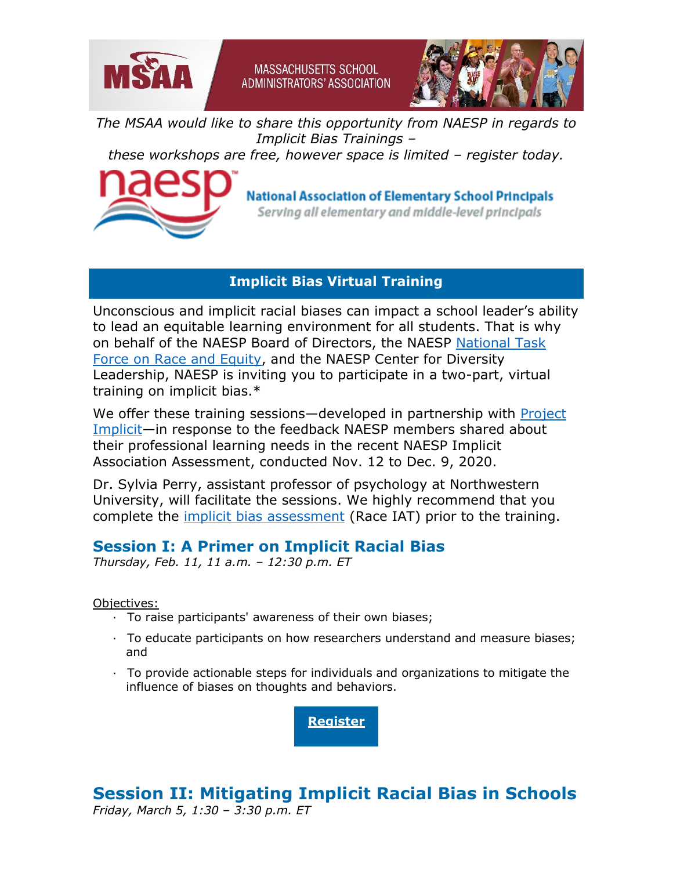



*The MSAA would like to share this opportunity from NAESP in regards to Implicit Bias Trainings –*

**MASSACHUSETTS SCHOOL ADMINISTRATORS' ASSOCIATION** 

*these workshops are free, however space is limited – register today.*



## **National Association of Elementary School Principals**

Serving all elementary and middle-level principals

## **Implicit Bias Virtual Training**

Unconscious and implicit racial biases can impact a school leader's ability to lead an equitable learning environment for all students. That is why on behalf of the NAESP Board of Directors, the NAESP [National Task](http://r20.rs6.net/tn.jsp?f=001Rc_DdWSVKIRZh1kBiOCGJa56DxjShwnK8oilCwut9AhWx8MtO8LxI8Q7AE6c0nKOyUNvJGD0PHyv41az28MfRl2o9-XT3SnJnvKJIDS11I_NpSUT8OjBncShGuIpR_GzIQ_4FtebPkzrkYC0lR_NZwZQRX5VioBMSrNpZqTCwGIls6CD6TOAn9NsXUKntU_0&c=9OolnL0npYCxpCy1NQ8rZlfdF0iprwkf53f-DlEXsy1vifcxKkmItQ==&ch=z9jbarZEdzC0_QBsFAqr0X8Gtel8o1gPU0BYa2bdSblTQlidgGcEKQ==)  [Force on Race and Equity,](http://r20.rs6.net/tn.jsp?f=001Rc_DdWSVKIRZh1kBiOCGJa56DxjShwnK8oilCwut9AhWx8MtO8LxI8Q7AE6c0nKOyUNvJGD0PHyv41az28MfRl2o9-XT3SnJnvKJIDS11I_NpSUT8OjBncShGuIpR_GzIQ_4FtebPkzrkYC0lR_NZwZQRX5VioBMSrNpZqTCwGIls6CD6TOAn9NsXUKntU_0&c=9OolnL0npYCxpCy1NQ8rZlfdF0iprwkf53f-DlEXsy1vifcxKkmItQ==&ch=z9jbarZEdzC0_QBsFAqr0X8Gtel8o1gPU0BYa2bdSblTQlidgGcEKQ==) and the NAESP Center for Diversity Leadership, NAESP is inviting you to participate in a two-part, virtual training on implicit bias.\*

We offer these training sessions—developed in partnership with Project [Implicit](http://r20.rs6.net/tn.jsp?f=001Rc_DdWSVKIRZh1kBiOCGJa56DxjShwnK8oilCwut9AhWx8MtO8LxI8Q7AE6c0nKOOJq1A1braLQBnPLeJCZE-a9xZTN2SR97XfgeDwfeNgQXaefME-WLhx4Ms5WmoEvBb2RnK-E33PK29555fybsQup2iyFz_Msj&c=9OolnL0npYCxpCy1NQ8rZlfdF0iprwkf53f-DlEXsy1vifcxKkmItQ==&ch=z9jbarZEdzC0_QBsFAqr0X8Gtel8o1gPU0BYa2bdSblTQlidgGcEKQ==)—in response to the feedback NAESP members shared about their professional learning needs in the recent NAESP Implicit Association Assessment, conducted Nov. 12 to Dec. 9, 2020.

Dr. Sylvia Perry, assistant professor of psychology at Northwestern University, will facilitate the sessions. We highly recommend that you complete the [implicit bias assessment](http://r20.rs6.net/tn.jsp?f=001Rc_DdWSVKIRZh1kBiOCGJa56DxjShwnK8oilCwut9AhWx8MtO8LxI8Q7AE6c0nKOdLhguVzsWOSMHv_Sl7RClDq4TCO5tYIsDjOUyH_nYgiHNb4YYcx7etrEf4aTsSLc2HRSUn7-JovMgIW4HTgrSJ0z3N6yGi_BwFJO_Ilf0onrNJchXmnRVQ==&c=9OolnL0npYCxpCy1NQ8rZlfdF0iprwkf53f-DlEXsy1vifcxKkmItQ==&ch=z9jbarZEdzC0_QBsFAqr0X8Gtel8o1gPU0BYa2bdSblTQlidgGcEKQ==) (Race IAT) prior to the training.

## **Session I: A Primer on Implicit Racial Bias**

*Thursday, Feb. 11, 11 a.m. – 12:30 p.m. ET*

Objectives:

- · To raise participants' awareness of their own biases;
- · To educate participants on how researchers understand and measure biases; and
- · To provide actionable steps for individuals and organizations to mitigate the influence of biases on thoughts and behaviors.

**[Register](http://r20.rs6.net/tn.jsp?f=001Rc_DdWSVKIRZh1kBiOCGJa56DxjShwnK8oilCwut9AhWx8MtO8LxI8Q7AE6c0nKOBCXOlZHRFQXUxPzgrn3Kr-gY90AHXAbXOiWxkgsS1FzkJGCT2cEuUW2pwCSj248d8FHlUxLNEMnQcIrmH3BjdbMYB3pz6Yn7XZCo0_Saio05LdUPrjCmTYyAY0Ay7OxoLhLPIyVlaAI=&c=9OolnL0npYCxpCy1NQ8rZlfdF0iprwkf53f-DlEXsy1vifcxKkmItQ==&ch=z9jbarZEdzC0_QBsFAqr0X8Gtel8o1gPU0BYa2bdSblTQlidgGcEKQ==)**

**Session II: Mitigating Implicit Racial Bias in Schools** *Friday, March 5, 1:30 – 3:30 p.m. ET*